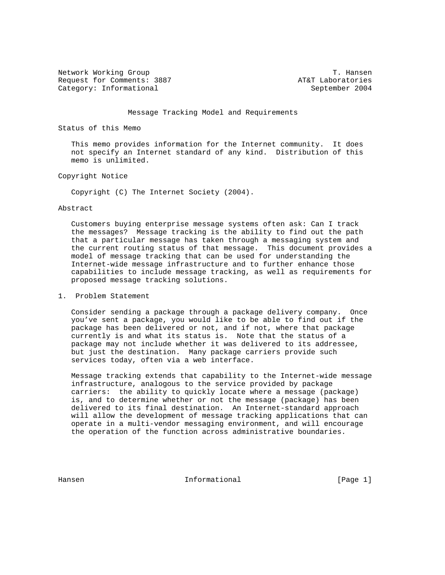Network Working Group T. Hansen Request for Comments: 3887 AT&T Laboratories Category: Informational September 2004

### Message Tracking Model and Requirements

Status of this Memo

 This memo provides information for the Internet community. It does not specify an Internet standard of any kind. Distribution of this memo is unlimited.

### Copyright Notice

Copyright (C) The Internet Society (2004).

#### Abstract

 Customers buying enterprise message systems often ask: Can I track the messages? Message tracking is the ability to find out the path that a particular message has taken through a messaging system and the current routing status of that message. This document provides a model of message tracking that can be used for understanding the Internet-wide message infrastructure and to further enhance those capabilities to include message tracking, as well as requirements for proposed message tracking solutions.

### 1. Problem Statement

 Consider sending a package through a package delivery company. Once you've sent a package, you would like to be able to find out if the package has been delivered or not, and if not, where that package currently is and what its status is. Note that the status of a package may not include whether it was delivered to its addressee, but just the destination. Many package carriers provide such services today, often via a web interface.

 Message tracking extends that capability to the Internet-wide message infrastructure, analogous to the service provided by package carriers: the ability to quickly locate where a message (package) is, and to determine whether or not the message (package) has been delivered to its final destination. An Internet-standard approach will allow the development of message tracking applications that can operate in a multi-vendor messaging environment, and will encourage the operation of the function across administrative boundaries.

Hansen 1986 (Page 1) Informational 1986 (Page 1)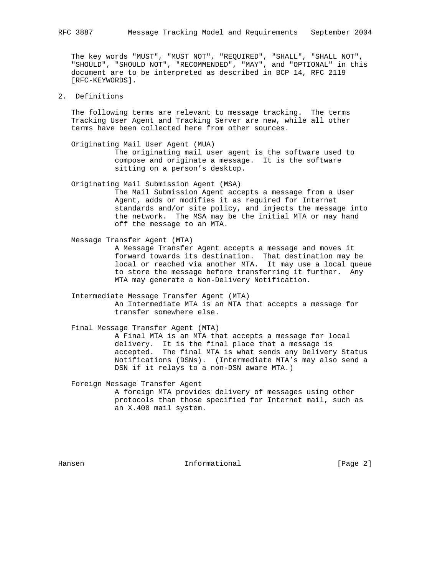The key words "MUST", "MUST NOT", "REQUIRED", "SHALL", "SHALL NOT", "SHOULD", "SHOULD NOT", "RECOMMENDED", "MAY", and "OPTIONAL" in this document are to be interpreted as described in BCP 14, RFC 2119 [RFC-KEYWORDS].

# 2. Definitions

 The following terms are relevant to message tracking. The terms Tracking User Agent and Tracking Server are new, while all other terms have been collected here from other sources.

 Originating Mail User Agent (MUA) The originating mail user agent is the software used to compose and originate a message. It is the software sitting on a person's desktop.

 Originating Mail Submission Agent (MSA) The Mail Submission Agent accepts a message from a User Agent, adds or modifies it as required for Internet standards and/or site policy, and injects the message into the network. The MSA may be the initial MTA or may hand off the message to an MTA.

- Message Transfer Agent (MTA) A Message Transfer Agent accepts a message and moves it forward towards its destination. That destination may be local or reached via another MTA. It may use a local queue to store the message before transferring it further. Any MTA may generate a Non-Delivery Notification.
	- Intermediate Message Transfer Agent (MTA) An Intermediate MTA is an MTA that accepts a message for transfer somewhere else.

 Final Message Transfer Agent (MTA) A Final MTA is an MTA that accepts a message for local delivery. It is the final place that a message is accepted. The final MTA is what sends any Delivery Status Notifications (DSNs). (Intermediate MTA's may also send a DSN if it relays to a non-DSN aware MTA.)

 Foreign Message Transfer Agent A foreign MTA provides delivery of messages using other

 protocols than those specified for Internet mail, such as an X.400 mail system.

Hansen 1992 - Informational 1996 - England (Page 2)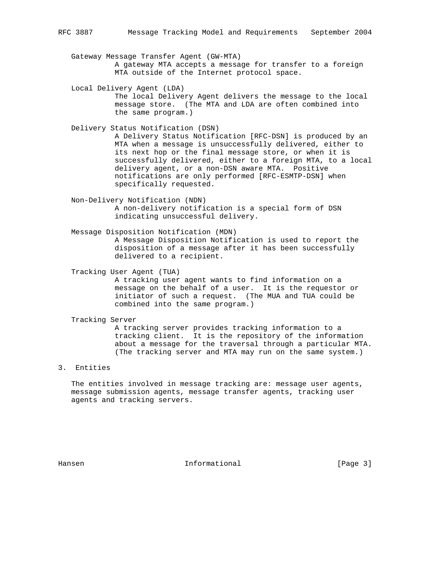Gateway Message Transfer Agent (GW-MTA) A gateway MTA accepts a message for transfer to a foreign MTA outside of the Internet protocol space.

 Local Delivery Agent (LDA) The local Delivery Agent delivers the message to the local message store. (The MTA and LDA are often combined into the same program.)

Delivery Status Notification (DSN)

 A Delivery Status Notification [RFC-DSN] is produced by an MTA when a message is unsuccessfully delivered, either to its next hop or the final message store, or when it is successfully delivered, either to a foreign MTA, to a local delivery agent, or a non-DSN aware MTA. Positive notifications are only performed [RFC-ESMTP-DSN] when specifically requested.

 Non-Delivery Notification (NDN) A non-delivery notification is a special form of DSN indicating unsuccessful delivery.

 Message Disposition Notification (MDN) A Message Disposition Notification is used to report the disposition of a message after it has been successfully delivered to a recipient.

 Tracking User Agent (TUA) A tracking user agent wants to find information on a message on the behalf of a user. It is the requestor or initiator of such a request. (The MUA and TUA could be combined into the same program.)

Tracking Server

 A tracking server provides tracking information to a tracking client. It is the repository of the information about a message for the traversal through a particular MTA. (The tracking server and MTA may run on the same system.)

## 3. Entities

 The entities involved in message tracking are: message user agents, message submission agents, message transfer agents, tracking user agents and tracking servers.

Hansen 1986 (Page 3) Informational 1986 (Page 3)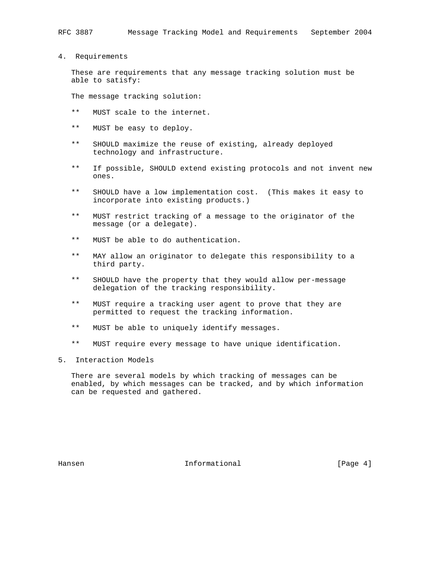4. Requirements

 These are requirements that any message tracking solution must be able to satisfy:

The message tracking solution:

- \*\* MUST scale to the internet.
- \*\* MUST be easy to deploy.
- \*\* SHOULD maximize the reuse of existing, already deployed technology and infrastructure.
- \*\* If possible, SHOULD extend existing protocols and not invent new ones.
- \*\* SHOULD have a low implementation cost. (This makes it easy to incorporate into existing products.)
- \*\* MUST restrict tracking of a message to the originator of the message (or a delegate).
- \*\* MUST be able to do authentication.
- \*\* MAY allow an originator to delegate this responsibility to a third party.
- \*\* SHOULD have the property that they would allow per-message delegation of the tracking responsibility.
- \*\* MUST require a tracking user agent to prove that they are permitted to request the tracking information.
- \*\* MUST be able to uniquely identify messages.
- \*\* MUST require every message to have unique identification.
- 5. Interaction Models

 There are several models by which tracking of messages can be enabled, by which messages can be tracked, and by which information can be requested and gathered.

Hansen 1986 (Page 4) Informational 1986 (Page 4)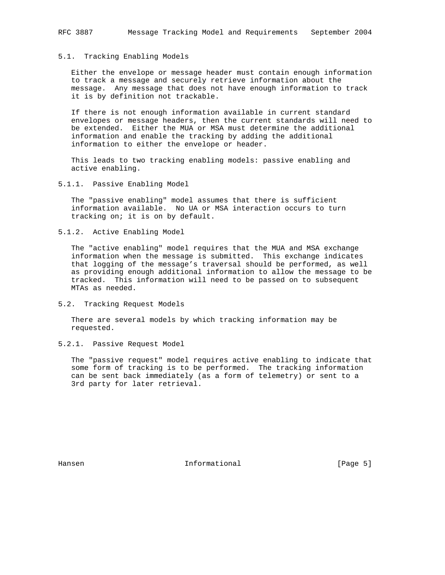#### 5.1. Tracking Enabling Models

 Either the envelope or message header must contain enough information to track a message and securely retrieve information about the message. Any message that does not have enough information to track it is by definition not trackable.

 If there is not enough information available in current standard envelopes or message headers, then the current standards will need to be extended. Either the MUA or MSA must determine the additional information and enable the tracking by adding the additional information to either the envelope or header.

 This leads to two tracking enabling models: passive enabling and active enabling.

5.1.1. Passive Enabling Model

 The "passive enabling" model assumes that there is sufficient information available. No UA or MSA interaction occurs to turn tracking on; it is on by default.

5.1.2. Active Enabling Model

 The "active enabling" model requires that the MUA and MSA exchange information when the message is submitted. This exchange indicates that logging of the message's traversal should be performed, as well as providing enough additional information to allow the message to be tracked. This information will need to be passed on to subsequent MTAs as needed.

5.2. Tracking Request Models

 There are several models by which tracking information may be requested.

5.2.1. Passive Request Model

 The "passive request" model requires active enabling to indicate that some form of tracking is to be performed. The tracking information can be sent back immediately (as a form of telemetry) or sent to a 3rd party for later retrieval.

Hansen 1999 (Page 5) Informational 1999 (Page 5)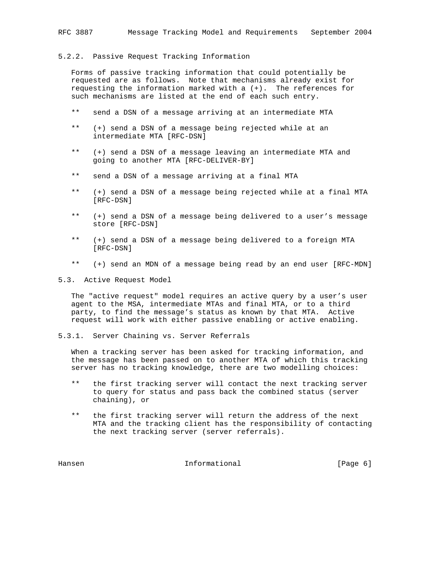#### 5.2.2. Passive Request Tracking Information

 Forms of passive tracking information that could potentially be requested are as follows. Note that mechanisms already exist for requesting the information marked with a (+). The references for such mechanisms are listed at the end of each such entry.

- \*\* send a DSN of a message arriving at an intermediate MTA
- \*\* (+) send a DSN of a message being rejected while at an intermediate MTA [RFC-DSN]
- \*\* (+) send a DSN of a message leaving an intermediate MTA and going to another MTA [RFC-DELIVER-BY]
- \*\* send a DSN of a message arriving at a final MTA
- \*\* (+) send a DSN of a message being rejected while at a final MTA [RFC-DSN]
- \*\* (+) send a DSN of a message being delivered to a user's message store [RFC-DSN]
- \*\* (+) send a DSN of a message being delivered to a foreign MTA [RFC-DSN]
- \*\* (+) send an MDN of a message being read by an end user [RFC-MDN]

5.3. Active Request Model

 The "active request" model requires an active query by a user's user agent to the MSA, intermediate MTAs and final MTA, or to a third party, to find the message's status as known by that MTA. Active request will work with either passive enabling or active enabling.

5.3.1. Server Chaining vs. Server Referrals

 When a tracking server has been asked for tracking information, and the message has been passed on to another MTA of which this tracking server has no tracking knowledge, there are two modelling choices:

- \*\* the first tracking server will contact the next tracking server to query for status and pass back the combined status (server chaining), or
- \*\* the first tracking server will return the address of the next MTA and the tracking client has the responsibility of contacting the next tracking server (server referrals).

Hansen 1999 (Page 6) Hansen Informational (Page 6)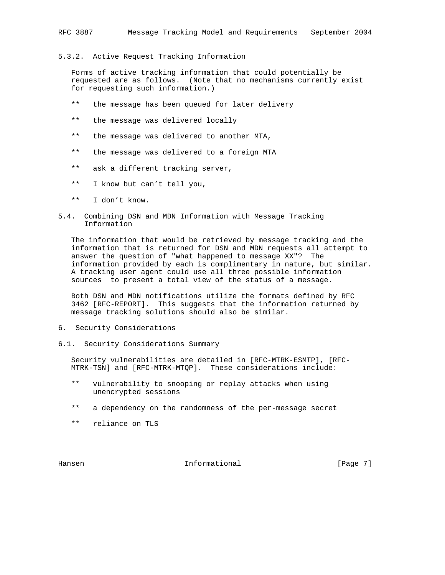## 5.3.2. Active Request Tracking Information

 Forms of active tracking information that could potentially be requested are as follows. (Note that no mechanisms currently exist for requesting such information.)

- \*\* the message has been queued for later delivery
- \*\* the message was delivered locally
- \*\* the message was delivered to another MTA,
- \*\* the message was delivered to a foreign MTA
- \*\* ask a different tracking server,
- \*\* I know but can't tell you,
- \*\* I don't know.
- 5.4. Combining DSN and MDN Information with Message Tracking Information

 The information that would be retrieved by message tracking and the information that is returned for DSN and MDN requests all attempt to answer the question of "what happened to message XX"? The information provided by each is complimentary in nature, but similar. A tracking user agent could use all three possible information sources to present a total view of the status of a message.

 Both DSN and MDN notifications utilize the formats defined by RFC 3462 [RFC-REPORT]. This suggests that the information returned by message tracking solutions should also be similar.

- 6. Security Considerations
- 6.1. Security Considerations Summary

 Security vulnerabilities are detailed in [RFC-MTRK-ESMTP], [RFC- MTRK-TSN] and [RFC-MTRK-MTQP]. These considerations include:

- \*\* vulnerability to snooping or replay attacks when using unencrypted sessions
- \*\* a dependency on the randomness of the per-message secret
- \*\* reliance on TLS

Hansen 1989 (Page 7) Hansen Informational (Page 7)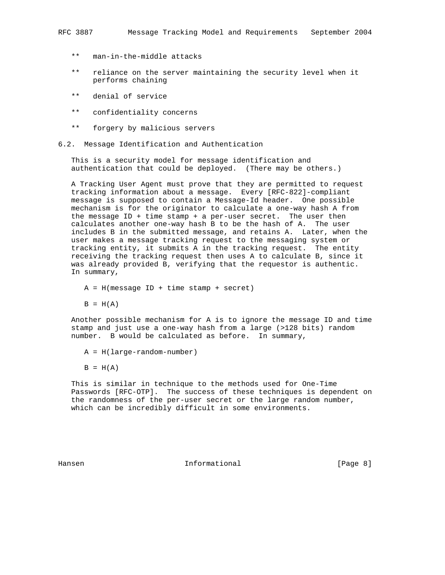- \*\* man-in-the-middle attacks
- \*\* reliance on the server maintaining the security level when it performs chaining
- \*\* denial of service
- \*\* confidentiality concerns
- \*\* forgery by malicious servers
- 6.2. Message Identification and Authentication

 This is a security model for message identification and authentication that could be deployed. (There may be others.)

 A Tracking User Agent must prove that they are permitted to request tracking information about a message. Every [RFC-822]-compliant message is supposed to contain a Message-Id header. One possible mechanism is for the originator to calculate a one-way hash A from the message  $ID + time + a per-user secret.$  The user then calculates another one-way hash B to be the hash of A. The user includes B in the submitted message, and retains A. Later, when the user makes a message tracking request to the messaging system or tracking entity, it submits A in the tracking request. The entity receiving the tracking request then uses A to calculate B, since it was already provided B, verifying that the requestor is authentic. In summary,

 $A = H(m \text{essage ID} + \text{time stamp} + \text{secret})$ 

 $B = H(A)$ 

 Another possible mechanism for A is to ignore the message ID and time stamp and just use a one-way hash from a large (>128 bits) random number. B would be calculated as before. In summary,

- A = H(large-random-number)
- $B = H(A)$

 This is similar in technique to the methods used for One-Time Passwords [RFC-OTP]. The success of these techniques is dependent on the randomness of the per-user secret or the large random number, which can be incredibly difficult in some environments.

Hansen 1999 (Page 8) Hansen Informational (Page 8)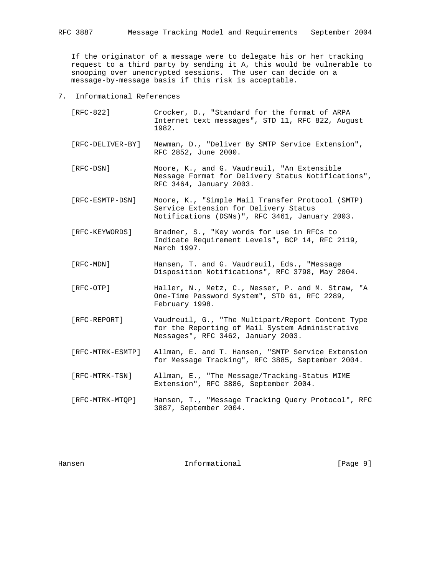If the originator of a message were to delegate his or her tracking request to a third party by sending it A, this would be vulnerable to snooping over unencrypted sessions. The user can decide on a message-by-message basis if this risk is acceptable.

- 7. Informational References
	- [RFC-822] Crocker, D., "Standard for the format of ARPA Internet text messages", STD 11, RFC 822, August 1982.
	- [RFC-DELIVER-BY] Newman, D., "Deliver By SMTP Service Extension", RFC 2852, June 2000.
	- [RFC-DSN] Moore, K., and G. Vaudreuil, "An Extensible Message Format for Delivery Status Notifications", RFC 3464, January 2003.
	- [RFC-ESMTP-DSN] Moore, K., "Simple Mail Transfer Protocol (SMTP) Service Extension for Delivery Status Notifications (DSNs)", RFC 3461, January 2003.
	- [RFC-KEYWORDS] Bradner, S., "Key words for use in RFCs to Indicate Requirement Levels", BCP 14, RFC 2119, March 1997.
	- [RFC-MDN] Hansen, T. and G. Vaudreuil, Eds., "Message Disposition Notifications", RFC 3798, May 2004.
	- [RFC-OTP] Haller, N., Metz, C., Nesser, P. and M. Straw, "A One-Time Password System", STD 61, RFC 2289, February 1998.
	- [RFC-REPORT] Vaudreuil, G., "The Multipart/Report Content Type for the Reporting of Mail System Administrative Messages", RFC 3462, January 2003.
	- [RFC-MTRK-ESMTP] Allman, E. and T. Hansen, "SMTP Service Extension for Message Tracking", RFC 3885, September 2004.
	- [RFC-MTRK-TSN] Allman, E., "The Message/Tracking-Status MIME Extension", RFC 3886, September 2004.
	- [RFC-MTRK-MTQP] Hansen, T., "Message Tracking Query Protocol", RFC 3887, September 2004.

Hansen 1999 (Page 9) Hansen Informational (Page 9)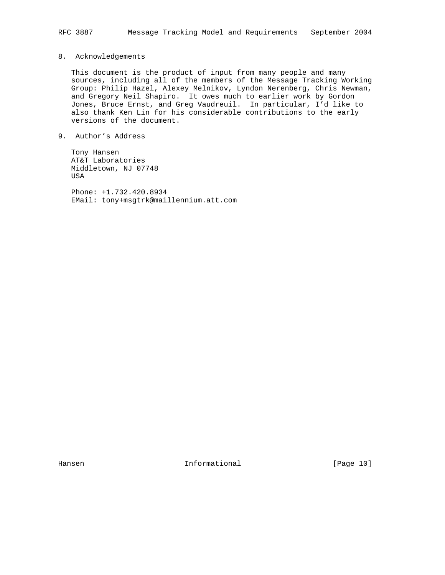# 8. Acknowledgements

 This document is the product of input from many people and many sources, including all of the members of the Message Tracking Working Group: Philip Hazel, Alexey Melnikov, Lyndon Nerenberg, Chris Newman, and Gregory Neil Shapiro. It owes much to earlier work by Gordon Jones, Bruce Ernst, and Greg Vaudreuil. In particular, I'd like to also thank Ken Lin for his considerable contributions to the early versions of the document.

9. Author's Address

 Tony Hansen AT&T Laboratories Middletown, NJ 07748 USA

 Phone: +1.732.420.8934 EMail: tony+msgtrk@maillennium.att.com

Hansen 10 1nformational [Page 10]